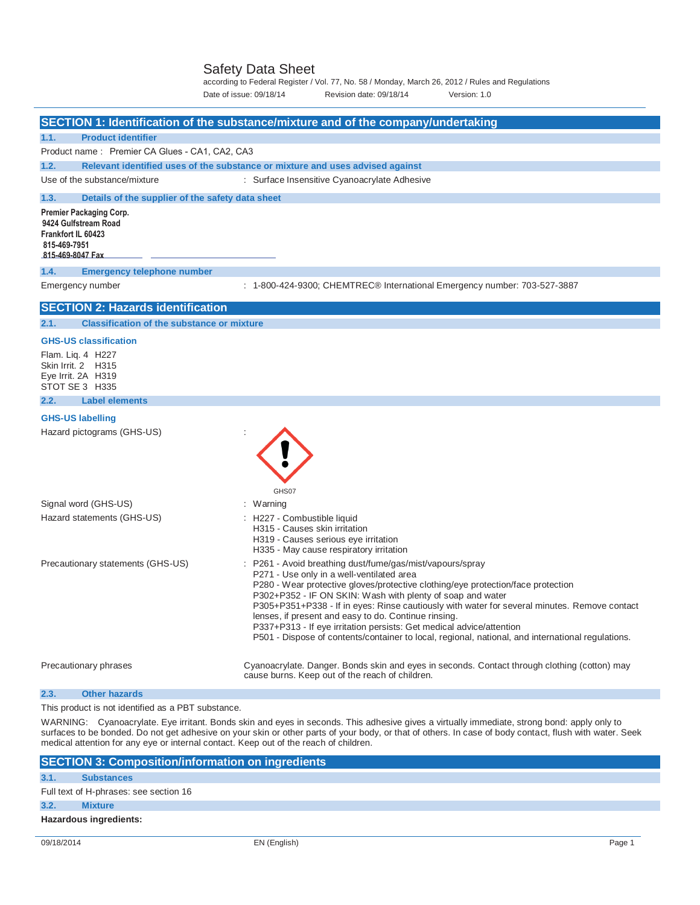Safety Data Sheet<br>according to Federal Register / Vol. 77, No. 58 / Monday, March 26, 2012 / Rules and Regulations Date of issue: 09/18/14 Revision date: 09/18/14 Version: 1.0

|                                                                                                           | SECTION 1: Identification of the substance/mixture and of the company/undertaking                                                                                                                                                                                                                                                                                                                                                                                                                                                                                                           |
|-----------------------------------------------------------------------------------------------------------|---------------------------------------------------------------------------------------------------------------------------------------------------------------------------------------------------------------------------------------------------------------------------------------------------------------------------------------------------------------------------------------------------------------------------------------------------------------------------------------------------------------------------------------------------------------------------------------------|
| <b>Product identifier</b><br>1.1.                                                                         |                                                                                                                                                                                                                                                                                                                                                                                                                                                                                                                                                                                             |
| Product name: Premier CA Glues - CA1, CA2, CA3                                                            |                                                                                                                                                                                                                                                                                                                                                                                                                                                                                                                                                                                             |
| 1.2.                                                                                                      | Relevant identified uses of the substance or mixture and uses advised against                                                                                                                                                                                                                                                                                                                                                                                                                                                                                                               |
| Use of the substance/mixture                                                                              | : Surface Insensitive Cyanoacrylate Adhesive                                                                                                                                                                                                                                                                                                                                                                                                                                                                                                                                                |
| 1.3.<br>Details of the supplier of the safety data sheet                                                  |                                                                                                                                                                                                                                                                                                                                                                                                                                                                                                                                                                                             |
| Premier Packaging Corp.<br>9424 Gulfstream Road<br>Frankfort IL 60423<br>815-469-7951<br>815-469-8047 Fax |                                                                                                                                                                                                                                                                                                                                                                                                                                                                                                                                                                                             |
| 1.4.<br><b>Emergency telephone number</b>                                                                 |                                                                                                                                                                                                                                                                                                                                                                                                                                                                                                                                                                                             |
| Emergency number                                                                                          | : 1-800-424-9300; CHEMTREC® International Emergency number: 703-527-3887                                                                                                                                                                                                                                                                                                                                                                                                                                                                                                                    |
| <b>SECTION 2: Hazards identification</b>                                                                  |                                                                                                                                                                                                                                                                                                                                                                                                                                                                                                                                                                                             |
| <b>Classification of the substance or mixture</b><br>2.1.                                                 |                                                                                                                                                                                                                                                                                                                                                                                                                                                                                                                                                                                             |
| <b>GHS-US classification</b>                                                                              |                                                                                                                                                                                                                                                                                                                                                                                                                                                                                                                                                                                             |
| Flam. Liq. 4 H227<br>Skin Irrit. 2 H315<br>Eye Irrit. 2A H319<br>STOT SE 3 H335                           |                                                                                                                                                                                                                                                                                                                                                                                                                                                                                                                                                                                             |
| 2.2.<br><b>Label elements</b>                                                                             |                                                                                                                                                                                                                                                                                                                                                                                                                                                                                                                                                                                             |
| <b>GHS-US labelling</b><br>Hazard pictograms (GHS-US)                                                     | GHS07                                                                                                                                                                                                                                                                                                                                                                                                                                                                                                                                                                                       |
| Signal word (GHS-US)                                                                                      | : Warning                                                                                                                                                                                                                                                                                                                                                                                                                                                                                                                                                                                   |
| Hazard statements (GHS-US)                                                                                | : H227 - Combustible liquid<br>H315 - Causes skin irritation<br>H319 - Causes serious eye irritation<br>H335 - May cause respiratory irritation                                                                                                                                                                                                                                                                                                                                                                                                                                             |
| Precautionary statements (GHS-US)                                                                         | P261 - Avoid breathing dust/fume/gas/mist/vapours/spray<br>P271 - Use only in a well-ventilated area<br>P280 - Wear protective gloves/protective clothing/eye protection/face protection<br>P302+P352 - IF ON SKIN: Wash with plenty of soap and water<br>P305+P351+P338 - If in eyes: Rinse cautiously with water for several minutes. Remove contact<br>lenses, if present and easy to do. Continue rinsing.<br>P337+P313 - If eye irritation persists: Get medical advice/attention<br>P501 - Dispose of contents/container to local, regional, national, and international regulations. |
| Precautionary phrases                                                                                     | Cyanoacrylate. Danger. Bonds skin and eyes in seconds. Contact through clothing (cotton) may<br>cause burns. Keep out of the reach of children.                                                                                                                                                                                                                                                                                                                                                                                                                                             |
| 2.3.<br><b>Other hazards</b>                                                                              |                                                                                                                                                                                                                                                                                                                                                                                                                                                                                                                                                                                             |

This product is not identified as a PBT substance.

WARNING: Cyanoacrylate. Eye irritant. Bonds skin and eyes in seconds. This adhesive gives a virtually immediate, strong bond: apply only to surfaces to be bonded. Do not get adhesive on your skin or other parts of your body, or that of others. In case of body contact, flush with water. Seek medical attention for any eye or internal contact. Keep out of the reach of children.

|      | <b>SECTION 3: Composition/information on ingredients</b> |  |  |
|------|----------------------------------------------------------|--|--|
| 3.1. | <b>Substances</b>                                        |  |  |
|      | Full text of H-phrases: see section 16                   |  |  |
| 3.2. | <b>Mixture</b>                                           |  |  |
|      | Hazardous ingredients:                                   |  |  |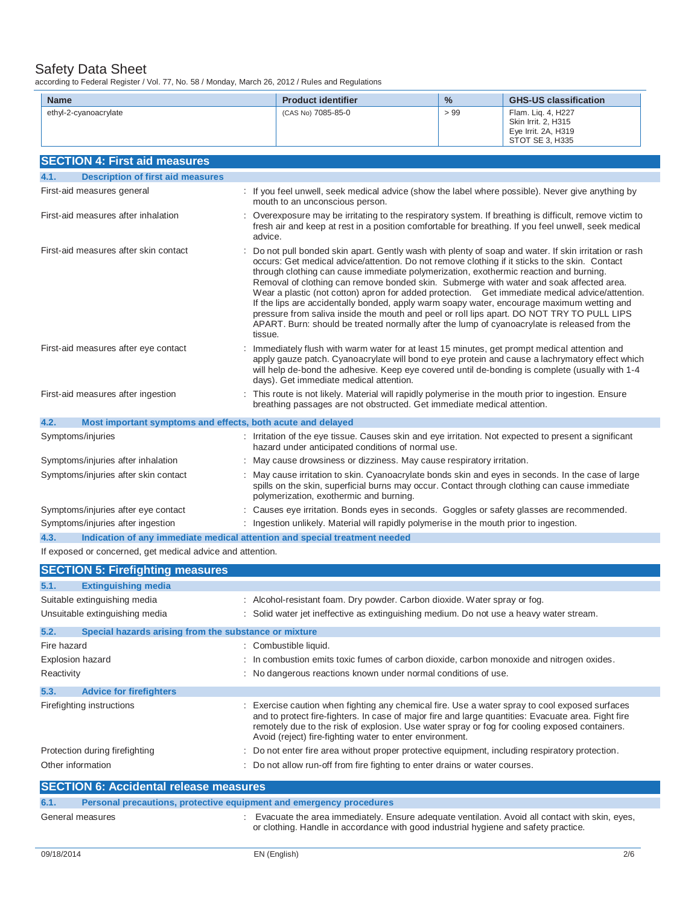according to Federal Register / Vol. 77, No. 58 / Monday, March 26, 2012 / Rules and Regulations

| according to Federal Register / Vol. 77, NO. 30 / Monday, March 20, 2012 / Rules and Regulations |         |                                                                                                                                                                                                                                                                                    |               |                                                                                                                                                                                                                                                                                                                                                                                                                                                                                                       |
|--------------------------------------------------------------------------------------------------|---------|------------------------------------------------------------------------------------------------------------------------------------------------------------------------------------------------------------------------------------------------------------------------------------|---------------|-------------------------------------------------------------------------------------------------------------------------------------------------------------------------------------------------------------------------------------------------------------------------------------------------------------------------------------------------------------------------------------------------------------------------------------------------------------------------------------------------------|
| <b>Name</b>                                                                                      |         | <b>Product identifier</b>                                                                                                                                                                                                                                                          | $\frac{0}{0}$ | <b>GHS-US classification</b>                                                                                                                                                                                                                                                                                                                                                                                                                                                                          |
| ethyl-2-cyanoacrylate                                                                            |         | (CAS No) 7085-85-0                                                                                                                                                                                                                                                                 | > 99          | Flam. Liq. 4, H227<br>Skin Irrit. 2, H315<br>Eye Irrit. 2A, H319<br>STOT SE 3, H335                                                                                                                                                                                                                                                                                                                                                                                                                   |
| <b>SECTION 4: First aid measures</b>                                                             |         |                                                                                                                                                                                                                                                                                    |               |                                                                                                                                                                                                                                                                                                                                                                                                                                                                                                       |
| <b>Description of first aid measures</b><br>4.1.                                                 |         |                                                                                                                                                                                                                                                                                    |               |                                                                                                                                                                                                                                                                                                                                                                                                                                                                                                       |
| First-aid measures general                                                                       |         | mouth to an unconscious person.                                                                                                                                                                                                                                                    |               | : If you feel unwell, seek medical advice (show the label where possible). Never give anything by                                                                                                                                                                                                                                                                                                                                                                                                     |
| First-aid measures after inhalation                                                              |         | advice.                                                                                                                                                                                                                                                                            |               | : Overexposure may be irritating to the respiratory system. If breathing is difficult, remove victim to<br>fresh air and keep at rest in a position comfortable for breathing. If you feel unwell, seek medical                                                                                                                                                                                                                                                                                       |
| First-aid measures after skin contact                                                            | tissue. | occurs: Get medical advice/attention. Do not remove clothing if it sticks to the skin. Contact<br>through clothing can cause immediate polymerization, exothermic reaction and burning.<br>Removal of clothing can remove bonded skin. Submerge with water and soak affected area. |               | : Do not pull bonded skin apart. Gently wash with plenty of soap and water. If skin irritation or rash<br>Wear a plastic (not cotton) apron for added protection. Get immediate medical advice/attention.<br>If the lips are accidentally bonded, apply warm soapy water, encourage maximum wetting and<br>pressure from saliva inside the mouth and peel or roll lips apart. DO NOT TRY TO PULL LIPS<br>APART. Burn: should be treated normally after the lump of cyanoacrylate is released from the |
| First-aid measures after eye contact                                                             |         | Immediately flush with warm water for at least 15 minutes, get prompt medical attention and<br>days). Get immediate medical attention.                                                                                                                                             |               | apply gauze patch. Cyanoacrylate will bond to eye protein and cause a lachrymatory effect which<br>will help de-bond the adhesive. Keep eye covered until de-bonding is complete (usually with 1-4                                                                                                                                                                                                                                                                                                    |
| First-aid measures after ingestion                                                               |         | : This route is not likely. Material will rapidly polymerise in the mouth prior to ingestion. Ensure<br>breathing passages are not obstructed. Get immediate medical attention.                                                                                                    |               |                                                                                                                                                                                                                                                                                                                                                                                                                                                                                                       |
| 4.2.<br>Most important symptoms and effects, both acute and delayed                              |         |                                                                                                                                                                                                                                                                                    |               |                                                                                                                                                                                                                                                                                                                                                                                                                                                                                                       |
| Symptoms/injuries                                                                                |         | hazard under anticipated conditions of normal use.                                                                                                                                                                                                                                 |               | : Irritation of the eye tissue. Causes skin and eye irritation. Not expected to present a significant                                                                                                                                                                                                                                                                                                                                                                                                 |
| Symptoms/injuries after inhalation                                                               |         | : May cause drowsiness or dizziness. May cause respiratory irritation.                                                                                                                                                                                                             |               |                                                                                                                                                                                                                                                                                                                                                                                                                                                                                                       |
| Symptoms/injuries after skin contact                                                             |         | spills on the skin, superficial burns may occur. Contact through clothing can cause immediate<br>polymerization, exothermic and burning.                                                                                                                                           |               | : May cause irritation to skin. Cyanoacrylate bonds skin and eyes in seconds. In the case of large                                                                                                                                                                                                                                                                                                                                                                                                    |
| Symptoms/injuries after eye contact                                                              |         | : Causes eye irritation. Bonds eyes in seconds. Goggles or safety glasses are recommended.                                                                                                                                                                                         |               |                                                                                                                                                                                                                                                                                                                                                                                                                                                                                                       |
| Symptoms/injuries after ingestion                                                                |         | : Ingestion unlikely. Material will rapidly polymerise in the mouth prior to ingestion.                                                                                                                                                                                            |               |                                                                                                                                                                                                                                                                                                                                                                                                                                                                                                       |

**4.3. Indication of any immediate medical attention and special treatment needed** 

If exposed or concerned, get medical advice and attention.

|                   | <b>SECTION 5: Firefighting measures</b>               |                                                                                                                                                                                                                                                                                                                                                                    |
|-------------------|-------------------------------------------------------|--------------------------------------------------------------------------------------------------------------------------------------------------------------------------------------------------------------------------------------------------------------------------------------------------------------------------------------------------------------------|
| 5.1.              | <b>Extinguishing media</b>                            |                                                                                                                                                                                                                                                                                                                                                                    |
|                   | Suitable extinguishing media                          | : Alcohol-resistant foam. Dry powder. Carbon dioxide. Water spray or fog.                                                                                                                                                                                                                                                                                          |
|                   | Unsuitable extinguishing media                        | : Solid water jet ineffective as extinguishing medium. Do not use a heavy water stream.                                                                                                                                                                                                                                                                            |
| 5.2.              | Special hazards arising from the substance or mixture |                                                                                                                                                                                                                                                                                                                                                                    |
| Fire hazard       |                                                       | : Combustible liquid.                                                                                                                                                                                                                                                                                                                                              |
| Explosion hazard  |                                                       | : In combustion emits toxic fumes of carbon dioxide, carbon monoxide and nitrogen oxides.                                                                                                                                                                                                                                                                          |
| Reactivity        |                                                       | : No dangerous reactions known under normal conditions of use.                                                                                                                                                                                                                                                                                                     |
| 5.3.              | <b>Advice for firefighters</b>                        |                                                                                                                                                                                                                                                                                                                                                                    |
|                   | Firefighting instructions                             | : Exercise caution when fighting any chemical fire. Use a water spray to cool exposed surfaces<br>and to protect fire-fighters. In case of major fire and large quantities: Evacuate area. Fight fire<br>remotely due to the risk of explosion. Use water spray or fog for cooling exposed containers.<br>Avoid (reject) fire-fighting water to enter environment. |
|                   | Protection during firefighting                        | : Do not enter fire area without proper protective equipment, including respiratory protection.                                                                                                                                                                                                                                                                    |
| Other information |                                                       | : Do not allow run-off from fire fighting to enter drains or water courses.                                                                                                                                                                                                                                                                                        |
|                   | <b>SECTION 6: Accidental release measures</b>         |                                                                                                                                                                                                                                                                                                                                                                    |

| 6.1. | Personal precautions, protective equipment and emergency procedures |                                                                                                                                                                                       |
|------|---------------------------------------------------------------------|---------------------------------------------------------------------------------------------------------------------------------------------------------------------------------------|
|      | General measures                                                    | Evacuate the area immediately. Ensure adequate ventilation. Avoid all contact with skin, eyes,<br>or clothing. Handle in accordance with good industrial hygiene and safety practice. |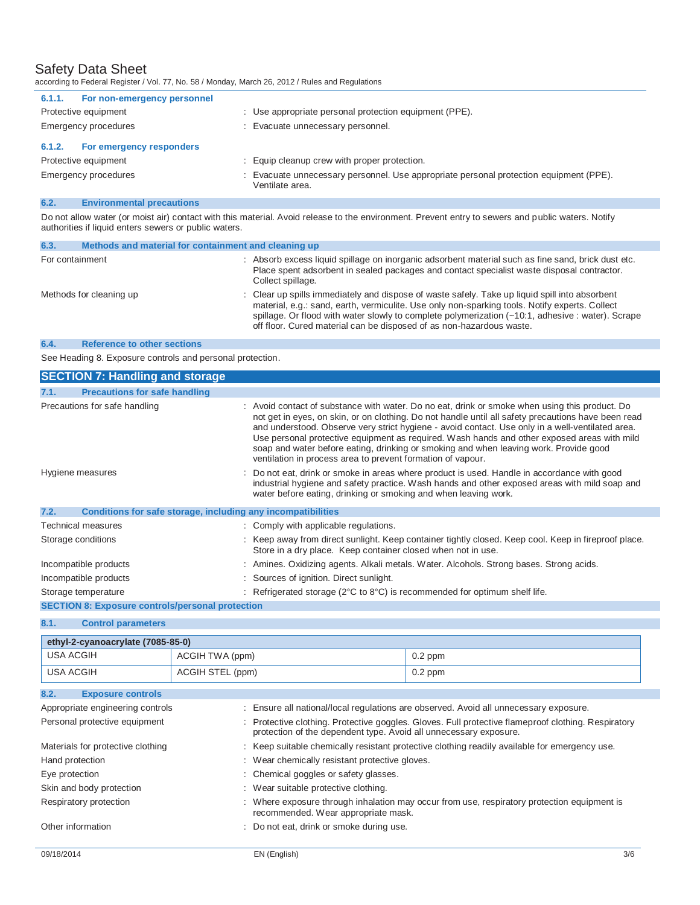| according to Federal Register / Vol. 77, No. 58 / Monday, March 26, 2012 / Rules and Regulations |                                                                                                           |
|--------------------------------------------------------------------------------------------------|-----------------------------------------------------------------------------------------------------------|
| For non-emergency personnel<br>6.1.1.                                                            |                                                                                                           |
| Protective equipment                                                                             | : Use appropriate personal protection equipment (PPE).                                                    |
| Emergency procedures                                                                             | : Evacuate unnecessary personnel.                                                                         |
| For emergency responders<br>6.1.2.                                                               |                                                                                                           |
| Protective equipment                                                                             | : Equip cleanup crew with proper protection.                                                              |
| Emergency procedures                                                                             | : Evacuate unnecessary personnel. Use appropriate personal protection equipment (PPE).<br>Ventilate area. |

# **6.2. Environmental precautions**

Do not allow water (or moist air) contact with this material. Avoid release to the environment. Prevent entry to sewers and public waters. Notify authorities if liquid enters sewers or public waters.

| 6.3.            | Methods and material for containment and cleaning up |                                                                                                                                                                                                                                                                                                                                                                               |
|-----------------|------------------------------------------------------|-------------------------------------------------------------------------------------------------------------------------------------------------------------------------------------------------------------------------------------------------------------------------------------------------------------------------------------------------------------------------------|
| For containment |                                                      | : Absorb excess liquid spillage on inorganic adsorbent material such as fine sand, brick dust etc.<br>Place spent adsorbent in sealed packages and contact specialist waste disposal contractor.<br>Collect spillage.                                                                                                                                                         |
|                 | Methods for cleaning up                              | : Clear up spills immediately and dispose of waste safely. Take up liquid spill into absorbent<br>material, e.g.: sand, earth, vermiculite. Use only non-sparking tools. Notify experts. Collect<br>spillage. Or flood with water slowly to complete polymerization (~10:1, adhesive : water). Scrape<br>off floor. Cured material can be disposed of as non-hazardous waste. |

### **6.4. Reference to other sections**

See Heading 8. Exposure controls and personal protection.

| <b>SECTION 7: Handling and storage</b>                               |                                                                                                                                                                                                                                                                                                                                                                                                                                                                                                                                                                  |
|----------------------------------------------------------------------|------------------------------------------------------------------------------------------------------------------------------------------------------------------------------------------------------------------------------------------------------------------------------------------------------------------------------------------------------------------------------------------------------------------------------------------------------------------------------------------------------------------------------------------------------------------|
| <b>Precautions for safe handling</b><br>7.1.                         |                                                                                                                                                                                                                                                                                                                                                                                                                                                                                                                                                                  |
| Precautions for safe handling                                        | : Avoid contact of substance with water. Do no eat, drink or smoke when using this product. Do<br>not get in eyes, on skin, or on clothing. Do not handle until all safety precautions have been read<br>and understood. Observe very strict hygiene - avoid contact. Use only in a well-ventilated area.<br>Use personal protective equipment as required. Wash hands and other exposed areas with mild<br>soap and water before eating, drinking or smoking and when leaving work. Provide good<br>ventilation in process area to prevent formation of vapour. |
| Hygiene measures                                                     | : Do not eat, drink or smoke in areas where product is used. Handle in accordance with good<br>industrial hygiene and safety practice. Wash hands and other exposed areas with mild soap and<br>water before eating, drinking or smoking and when leaving work.                                                                                                                                                                                                                                                                                                  |
| 7.2.<br>Conditions for safe storage, including any incompatibilities |                                                                                                                                                                                                                                                                                                                                                                                                                                                                                                                                                                  |
| Technical measures                                                   | : Comply with applicable regulations.                                                                                                                                                                                                                                                                                                                                                                                                                                                                                                                            |
| Storage conditions                                                   | : Keep away from direct sunlight. Keep container tightly closed. Keep cool. Keep in fireproof place.<br>Store in a dry place. Keep container closed when not in use.                                                                                                                                                                                                                                                                                                                                                                                             |
| Incompatible products                                                | : Amines. Oxidizing agents. Alkali metals. Water. Alcohols. Strong bases. Strong acids.                                                                                                                                                                                                                                                                                                                                                                                                                                                                          |
| Incompatible products                                                | : Sources of ignition. Direct sunlight.                                                                                                                                                                                                                                                                                                                                                                                                                                                                                                                          |
| Storage temperature                                                  | : Refrigerated storage ( $2^{\circ}C$ to $8^{\circ}C$ ) is recommended for optimum shelf life.                                                                                                                                                                                                                                                                                                                                                                                                                                                                   |
| <b>SECTION 8: Exposure controls/personal protection</b>              |                                                                                                                                                                                                                                                                                                                                                                                                                                                                                                                                                                  |

# **8.1. Control parameters**

| ethyl-2-cyanoacrylate (7085-85-0) |                  |           |
|-----------------------------------|------------------|-----------|
| USA ACGIH                         | ACGIH TWA (ppm)  | $0.2$ ppm |
| USA ACGIH                         | ACGIH STEL (ppm) | $0.2$ ppm |

| 8.2.<br><b>Exposure controls</b>  |                                                                                                                                                                        |
|-----------------------------------|------------------------------------------------------------------------------------------------------------------------------------------------------------------------|
| Appropriate engineering controls  | : Ensure all national/local regulations are observed. Avoid all unnecessary exposure.                                                                                  |
| Personal protective equipment     | Protective clothing. Protective goggles. Gloves. Full protective flameproof clothing. Respiratory<br>protection of the dependent type. Avoid all unnecessary exposure. |
| Materials for protective clothing | : Keep suitable chemically resistant protective clothing readily available for emergency use.                                                                          |
| Hand protection                   | : Wear chemically resistant protective gloves.                                                                                                                         |
| Eye protection                    | : Chemical goggles or safety glasses.                                                                                                                                  |
| Skin and body protection          | : Wear suitable protective clothing.                                                                                                                                   |
| Respiratory protection            | Where exposure through inhalation may occur from use, respiratory protection equipment is<br>recommended. Wear appropriate mask.                                       |
| Other information                 | : Do not eat, drink or smoke during use.                                                                                                                               |
|                                   |                                                                                                                                                                        |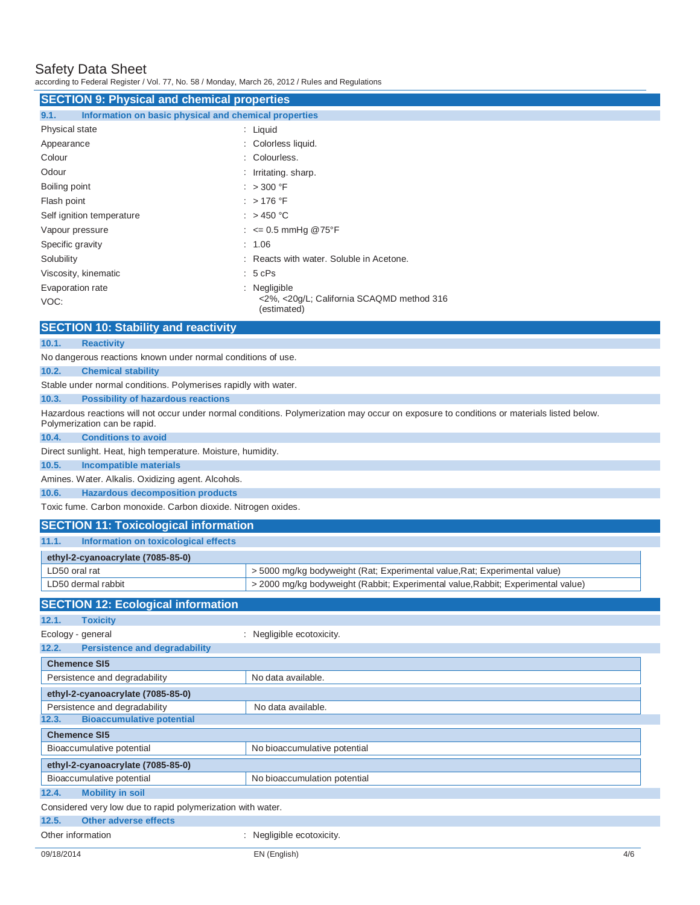according to Federal Register / Vol. 77, No. 58 / Monday, March 26, 2012 / Rules and Regulations

| <b>SECTION 9: Physical and chemical properties</b>            |                                                                          |  |
|---------------------------------------------------------------|--------------------------------------------------------------------------|--|
| Information on basic physical and chemical properties<br>9.1. |                                                                          |  |
| Physical state                                                | : Liquid                                                                 |  |
| Appearance                                                    | : Colorless liquid.                                                      |  |
| Colour                                                        | : Colourless.                                                            |  |
| Odour                                                         | : Irritating. sharp.                                                     |  |
| Boiling point                                                 | : $>300$ °F                                                              |  |
| Flash point                                                   | $:$ > 176 °F                                                             |  |
| Self ignition temperature                                     | : $>450^{\circ}$ C                                                       |  |
| Vapour pressure                                               | : $\leq$ 0.5 mmHg @75°F                                                  |  |
| Specific gravity                                              | : 1.06                                                                   |  |
| Solubility                                                    | : Reacts with water, Soluble in Acetone.                                 |  |
| Viscosity, kinematic                                          | $: 5$ cPs                                                                |  |
| Evaporation rate<br>VOC:                                      | : Negligible<br><2%, <20g/L; California SCAQMD method 316<br>(estimated) |  |
| $\overline{\mathbf{A}}$                                       |                                                                          |  |

# **SECTION 10: Stability and reactivity**

# **10.1. Reactivity**

No dangerous reactions known under normal conditions of use.

# **10.2. Chemical stability**

Stable under normal conditions. Polymerises rapidly with water.

# **10.3. Possibility of hazardous reactions**

Hazardous reactions will not occur under normal conditions. Polymerization may occur on exposure to conditions or materials listed below. Polymerization can be rapid.

#### **10.4. Conditions to avoid**

Direct sunlight. Heat, high temperature. Moisture, humidity.

# **10.5. Incompatible materials**

Amines. Water. Alkalis. Oxidizing agent. Alcohols.

# **10.6. Hazardous decomposition products**

Toxic fume. Carbon monoxide. Carbon dioxide. Nitrogen oxides.

# **SECTION 11: Toxicological information**

| 11.1.         | Information on toxicological effects |                                                                                  |
|---------------|--------------------------------------|----------------------------------------------------------------------------------|
|               | ethyl-2-cyanoacrylate $(7085-85-0)$  |                                                                                  |
| LD50 oral rat |                                      | > 5000 mg/kg bodyweight (Rat; Experimental value, Rat; Experimental value)       |
|               | LD50 dermal rabbit                   | > 2000 mg/kg bodyweight (Rabbit; Experimental value, Rabbit; Experimental value) |

| <b>SECTION 12: Ecological information</b>                   |                              |  |  |
|-------------------------------------------------------------|------------------------------|--|--|
| <b>Toxicity</b><br>12.1.                                    |                              |  |  |
| Ecology - general                                           | : Negligible ecotoxicity.    |  |  |
| <b>Persistence and degradability</b><br>12.2.               |                              |  |  |
| <b>Chemence SI5</b>                                         |                              |  |  |
| Persistence and degradability                               | No data available.           |  |  |
| ethyl-2-cyanoacrylate (7085-85-0)                           |                              |  |  |
| Persistence and degradability                               | No data available.           |  |  |
| <b>Bioaccumulative potential</b><br>12.3.                   |                              |  |  |
| <b>Chemence SI5</b>                                         |                              |  |  |
| Bioaccumulative potential                                   | No bioaccumulative potential |  |  |
| ethyl-2-cyanoacrylate (7085-85-0)                           |                              |  |  |
| Bioaccumulative potential<br>No bioaccumulation potential   |                              |  |  |
| <b>Mobility in soil</b><br>12.4.                            |                              |  |  |
| Considered very low due to rapid polymerization with water. |                              |  |  |
| <b>Other adverse effects</b><br>12.5.                       |                              |  |  |
| Other information                                           | : Negligible ecotoxicity.    |  |  |
| 09/18/2014                                                  | 4/6<br>EN (English)          |  |  |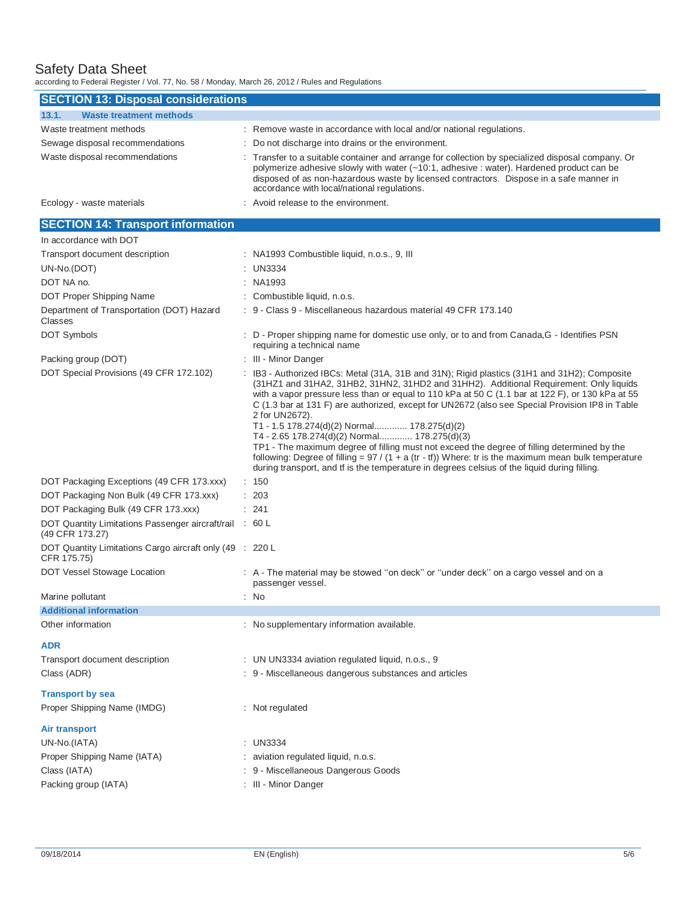according to Federal Register / Vol. 77, No. 58 / Monday, March 26, 2012 / Rules and Regulations

| <b>SECTION 13: Disposal considerations</b>           |                                                                                                                                                                                                                                                                                                                                         |  |  |  |  |
|------------------------------------------------------|-----------------------------------------------------------------------------------------------------------------------------------------------------------------------------------------------------------------------------------------------------------------------------------------------------------------------------------------|--|--|--|--|
| 13.1.<br><b>Waste treatment methods</b>              |                                                                                                                                                                                                                                                                                                                                         |  |  |  |  |
| Waste treatment methods                              | : Remove waste in accordance with local and/or national regulations.                                                                                                                                                                                                                                                                    |  |  |  |  |
| Sewage disposal recommendations                      | : Do not discharge into drains or the environment.                                                                                                                                                                                                                                                                                      |  |  |  |  |
| Waste disposal recommendations                       | : Transfer to a suitable container and arrange for collection by specialized disposal company. Or<br>polymerize adhesive slowly with water (~10:1, adhesive : water). Hardened product can be<br>disposed of as non-hazardous waste by licensed contractors. Dispose in a safe manner in<br>accordance with local/national regulations. |  |  |  |  |
| Ecology - waste materials                            | : Avoid release to the environment.                                                                                                                                                                                                                                                                                                     |  |  |  |  |
| <b>SECTION 14: Transport information</b>             |                                                                                                                                                                                                                                                                                                                                         |  |  |  |  |
| In accordance with DOT                               |                                                                                                                                                                                                                                                                                                                                         |  |  |  |  |
| Transport document description                       | : NA1993 Combustible liquid, n.o.s., 9, III                                                                                                                                                                                                                                                                                             |  |  |  |  |
| UN-No.(DOT)                                          | $:$ UN3334                                                                                                                                                                                                                                                                                                                              |  |  |  |  |
| DOT NA no.                                           | : NA1993                                                                                                                                                                                                                                                                                                                                |  |  |  |  |
| DOT Proper Shipping Name                             | : Combustible liquid, n.o.s.                                                                                                                                                                                                                                                                                                            |  |  |  |  |
| Department of Transportation (DOT) Hazard<br>Classes | : 9 - Class 9 - Miscellaneous hazardous material 49 CFR 173.140                                                                                                                                                                                                                                                                         |  |  |  |  |
| <b>DOT Symbols</b>                                   | : D - Proper shipping name for domestic use only, or to and from Canada, G - Identifies PSN<br>requiring a technical name                                                                                                                                                                                                               |  |  |  |  |

Packing group (DOT) : III - Minor Danger DOT Special Provisions (49 CFR 172.102) : IB3 - Authorized IBCs: Metal (31A, 31B and 31N); Rigid plastics (31H1 and 31H2); Composite (31HZ1 and 31HA2, 31HB2, 31HN2, 31HD2 and 31HH2). Additional Requirement: Only liquids with a vapor pressure less than or equal to 110 kPa at 50 C (1.1 bar at 122 F), or 130 kPa at 55 C (1.3 bar at 131 F) are authorized, except for UN2672 (also see Special Provision IP8 in Table 2 for UN2672). T1 - 1.5 178.274(d)(2) Normal............. 178.275(d)(2) T4 - 2.65 178.274(d)(2) Normal............. 178.275(d)(3) TP1 - The maximum degree of filling must not exceed the degree of filling determined by the following: Degree of filling =  $97 / (1 + a$  (tr - tf)) Where: tr is the maximum mean bulk temperature during transport, and tf is the temperature in degrees celsius of the liquid during filling. DOT Packaging Exceptions (49 CFR 173.xxx) : 150 DOT Packaging Non Bulk (49 CFR 173.xxx) : 203 DOT Packaging Bulk (49 CFR 173.xxx) : 241 DOT Quantity Limitations Passenger aircraft/rail : 60 L (49 CFR 173.27) DOT Quantity Limitations Cargo aircraft only (49 : 220 L CFR 175.75) DOT Vessel Stowage Location : A - The material may be stowed "on deck" or "under deck" on a cargo vessel and on a passenger vessel. Marine pollutant : No **Additional information**  Other information **contains the container of the container** : No supplementary information available. **ADR**  Transport document description : UN UN3334 aviation regulated liquid, n.o.s., 9 Class (ADR) : 9 - Miscellaneous dangerous substances and articles **Transport by sea**  Proper Shipping Name (IMDG) : Not regulated **Air transport**  UN-No.(IATA) : UN3334 Proper Shipping Name (IATA) : aviation regulated liquid, n.o.s. Class (IATA) : 9 - Miscellaneous Dangerous Goods